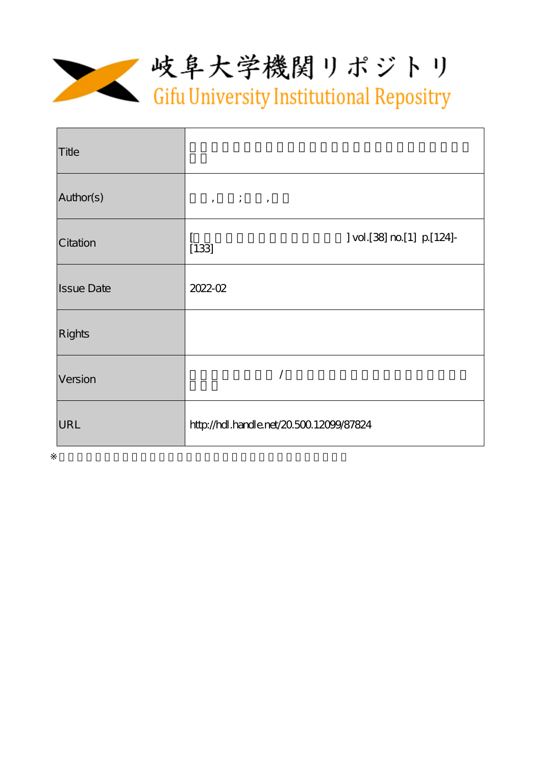

| Title             |                                                                                |
|-------------------|--------------------------------------------------------------------------------|
| Author(s)         | $\qquad \qquad \, , \qquad \quad \, \vdots \qquad \quad \, , \qquad \qquad \,$ |
| Citation          | ] vol.[38] no [1] p [124]-<br>[133]                                            |
| <b>Issue Date</b> | $2022 - 02$                                                                    |
| <b>Rights</b>     |                                                                                |
| Version           |                                                                                |
| URL               | http://hdl.handle.net/20.50012099/87824                                        |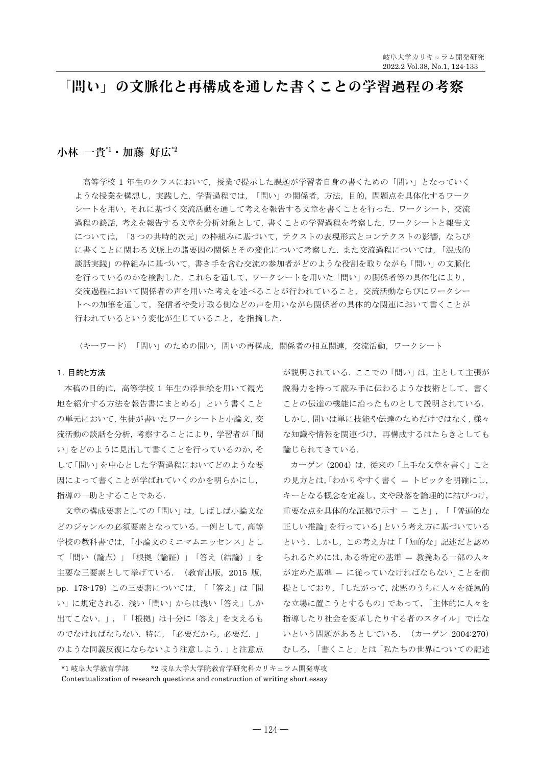# 「問い」の文脈化と再構成を通した書くことの学習過程の考察

# $\Lambda$ 林 一貴 $1$ ·加藤好広 $2$

高等学校 1 年生のクラスにおいて、授業で提示した課題が学習者自身の書くための「問い」となっていく ような授業を構想し、実践した、学習過程では、「問い」の関係者、方法、目的、問題点を具体化するワーク シートを用い、それに基づく交流活動を通して考えを報告する文章を書くことを行った. ワークシート, 交流 過程の談話,考えを報告する文章を分析対象として、書くことの学習過程を考察した. ワークシートと報告文 については、「3つの共時的次元」の枠組みに基づいて、テクストの表現形式とコンテクストの影響、ならび に書くことに関わる文脈上の諸要因の関係とその変化について考察した。また交流過程については、「混成的 談話実践」の枠組みに基づいて、書き手を含む交流の参加者がどのような役割を取りながら「問い」の文脈化 を行っているのかを検討した。これらを通して、ワークシートを用いた「問い」の関係者等の具体化により、 交流過程において関係者の声を用いた考えを述べることが行われていること、交流活動ならびにワークシー トへの加筆を通して、発信者や受け取る側などの声を用いながら関係者の具体的な関連において書くことが 行われているという変化が生じていること、を指摘した.

〈キーワード〉「問い」のための問い、問いの再構成、関係者の相互関連、交流活動、ワークシート

## 1. 目的と方法

本稿の目的は、高等学校 1 年生の浮世絵を用いて観光 地を紹介する方法を報告書にまとめる」という書くこと の単元において、生徒が書いたワークシートと小論文, 交 流活動の談話を分析、考察することにより、学習者が「問 い」をどのように見出して書くことを行っているのか、そ して「問い」を中心とした学習過程においてどのような要 因によって書くことが学ばれていくのかを明らかにし、 指導の一助とすることである。

文章の構成要素としての「問い」は、しばしば小論文な どのジャンルの必須要素となっている. 一例として、高等 学校の教科書では、「小論文のミニマムエッセンス」とし て「問い(論点)」「根拠(論証)」「答え(結論)」を 主要な三要素として挙げている。 (教育出版, 2015 版, pp. 178-179) この三要素については、「「答え」は「問 い」に規定される. 浅い「問い」からは浅い「答え」しか 出てこない.」,「「根拠」は十分に「答え」を支えるも のでなければならない. 特に、「必要だから、必要だ.」 のような同義反復にならないよう注意しよう.」と注意点 が説明されている。ここでの「問い」は、主として主張が 説得力を持って読み手に伝わるような技術として、書く ことの伝達の機能に沿ったものとして説明されている. しかし、問いは単に技能や伝達のためだけではなく、様々 な知識や情報を関連づけ、再構成するはたらきとしても 論じられてきている.

カーゲン (2004) は、従来の「上手な文章を書く」こと の見方とは、「わかりやすく書く - トピックを明確にし, キーとなる概念を定義し、文や段落を論理的に結びつけ、 重要な点を具体的な証拠で示す - こと」,「「普遍的な 正しい推論」を行っている」という考え方に基づいている という. しかし、この考え方は「「知的な」記述だと認め られるためには、ある特定の基準 - 教養ある一部の人々 が定めた基準 - に従っていなければならない」ことを前 提としており,「したがって,沈黙のうちに人々を従属的 な立場に置こうとするもの」であって、「主体的に人々を 指導したりまる者のスタイル」ではな いという問題があるとしている. (カーゲン 2004:270) むしろ、「書くこと」とは「私たちの世界についての記述

\*1 岐阜大学教育学部 \*2 岐阜大学大学院教育学研究科カリキュラム開発専攻

Contextualization of research questions and construction of writing short essay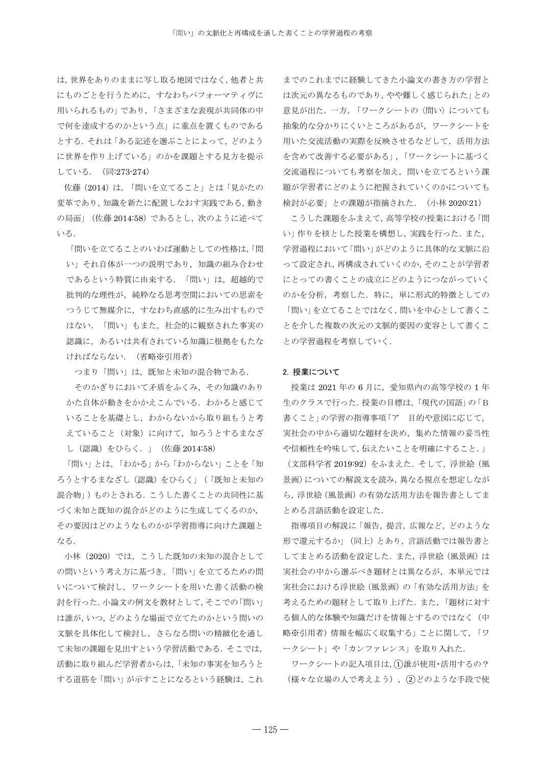は、世界をありのままに写し取る地図ではなく、他者と共 にものごとを行うために、すなわちパフォーマティヴに 用いられるもの」であり、「さまざまな表現が共同体の中 で何を達成するのかという点」に重点を置くものである とする. それは「ある記述を選ぶことによって、どのよう に世界を作り上げている」のかを課題とする見方を提示 している. (同:273-274)

佐藤 (2014) は、「問いを立てること」とは「見かたの 変革であり,知識を新たに配置しなおす実践である,動き の局面」(佐藤 2014:58) であるとし、次のように述べて いる.

「問いを立てることのいわば運動としての性格は、「問 い」それ自体が一つの説明であり、知識の組み合わせ であるという特質に由来する. 「問い」は、超越的で 批判的な理性が、純粋なる思考空間においての思索を つうじて無媒介に、すなわち直感的に生み出すもので はない. 「問い」もまた、社会的に観察された事実の 認識に、あるいは共有されている知識に根拠をもたな ければならない. (省略※引用者)

つまり「問い」は、既知と未知の混合物である.

そのかぎりにおいて矛盾をふくみ、その知識のあり かた自体が動きをかかえこんでいる。わかると感じて いることを基礎とし、わからないから取り組もうと考 えていること (対象) に向けて、知ろうとするまなざ し (認識) をひらく. 」 (佐藤 2014:58)

「問い」とは、「わかる」から「わからない」ことを「知 ろうとするまなざし (認識) をひらく」 (「既知と未知の 混合物」)ものとされる。こうした書くことの共同性に基 づく未知と既知の混合がどのように生成してくるのか、 その要因はどのようなものかが学習指導に向けた課題と なる.

小林 (2020) では、こうした既知の未知の混合として の問いという考え方に基づき、「問い」を立てるための問 いについて検討し、ワークシートを用いた書く活動の検 討を行った. 小論文の例文を教材として、そこでの「問い」 は誰が, いつ, どのような場面で立てたのかという問いの 文脈を具体化して検討し、さらなる間いの精緻化を通し て未知の課題を見出すという学習活動である. そこでは、 活動に取り組んだ学習者からは、「未知の事実を知ろうと する道筋を「問い」が示すことになるという経験は、これ

までのこれまでに経験してきた小論文の書き方の学習と は次元の異なるものであり、やや難しく感じられた」との 意見が出た. 一方, 「ワークシートの〈問い〉についても 抽象的な分かりにくいところがあるが、ワークシートを 用いた交流活動の実際を反映させるなどして、活用方法 を含めて改善する必要がある」、「ワークシートに基づく 交流過程についても考察を加え、問いを立てるという課 題が学習者にどのように把握されていくのかについても 検討が必要」との課題が指摘された. (小林 2020:21)

こうした課題をふまえて、高等学校の授業における「問 い」作りを核とした授業を構想し、実践を行った. また, 学習過程において「問い」がどのように具体的な文脈に沿 って設定され、再構成されていくのか、そのことが学習者 にとっての書くことの成立にどのようにつながっていく のかを分析、考察した. 特に、単に形式的特徴としての 「問い」を立てることではなく、問いを中心として書くこ とを介した複数の次元の文脈的要因の変容として書くこ との学習過程を考察していく.

## 2. 授業について

授業は 2021 年の 6 月に、愛知県内の高等学校の 1 年 生のクラスで行った. 授業の目標は,「現代の国語」の「B 書くこと」の学習の指導事項「ア 目的や意図に応じて、 実社会の中から適切な題材を決め、集めた情報の妥当性 や信頼性を吟味して、伝えたいことを明確にすること.

(文部科学省 2019:92) をふまえた. そして、浮世絵 (風 景画)についての解説文を読み、異なる視点を想定しなが ら、浮世絵(風景画)の有効な活用方法を報告書としてま とめる言語活動を設定した.

指導項目の解説に「報告, 提言, 広報など, どのような 形で還元するか」 (同上) とあり、言語活動では報告書と してまとめる活動を設定した. また、浮世絵 (風景画)は 実社会の中から選ぶべき題材とは異なるが、本単元では 実社会における浮世絵 (風景画)の「有効な活用方法」を 考えるための題材として取り上げた. また、「題材に対す る個人的な体験や知識だけを情報とするのではなく(中 略※引用者)情報を幅広く収集する」ことに関して、「ワ ークシート」や「カンファレンス」を取り入れた.

ワークシートの記入項目は、1誰が使用·活用するの? (様々な立場の人で考えよう)、(2)どのような手段で使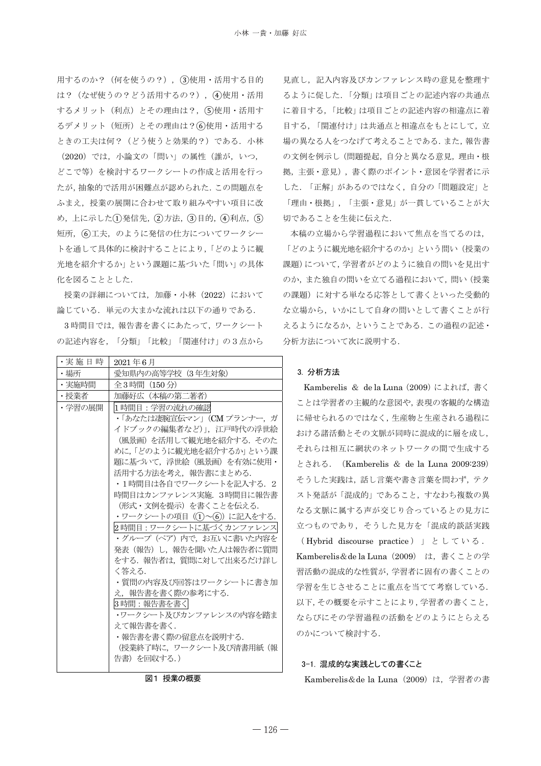用するのか? (何を使うの?), 3使用·活用する目的 は? (なぜ使うの?どう活用するの?), (4)使用·活用 するメリット (利点) とその理由は?, 5使用·活用す るデメリット (短所) とその理由は? (6)使用・活用する ときの工夫は何? (どう使うと効果的?) である. 小林 (2020) では、小論文の「問い」の属性 (誰が, いつ, どこで等)を検討するワークシートの作成と活用を行っ たが、抽象的で活用が困難点が認められた。この問題点を ふまえ、授業の展開に合わせて取り組みやすい項目に改 め, 上に示した(1)発信先, (2)方法, (3)目的, (4)利点, (5) 短所, (6)工夫, のように発信の仕方についてワークシー トを通して具体的に検討することにより、「どのように観 光地を紹介するか」という課題に基づいた「問い」の具体 化を図ることとした.

授業の詳細については、加藤・小林 (2022) において 論じている. 単元の大まかな流れは以下の通りである.

3時間目では、報告書を書くにあたって、ワークシート の記述内容を、「分類」「比較」「関連付け」の3点から

| ・実 施 日 時 | 2021年6月                      |
|----------|------------------------------|
| ・場所      | 愛知県内の高等学校(3年生対象)             |
| ・実施時間    | 全3時間 (150分)                  |
| ・授業者     | 加藤好広 (本稿の第二著者)               |
| ・学習の展開   | 1時間目:学習の流れの確認                |
|          | ・「あなたは凄腕宣伝マン」(CM プランナー, ガ    |
|          | イドブックの編集者など)」,江戸時代の浮世絵       |
|          | (風景画) を活用して観光地を紹介する. そのた.    |
|          | めに、「どのように観光地を紹介するか」という課      |
|          | 題に基づいて,浮世絵(風景画)を有効に使用・       |
|          | 活用する方法を考え、 報告書にまとめる.         |
|          | ・1時間目は各自でワークシートを記入する.2       |
|          | 時間目はカンファレンス実施. 3時間目に報告書      |
|          | (形式・文例を提示)を書くことを伝える.         |
|          | ・ワークシートの項目 ((1)~(6)) に記入をする. |
|          | 2 時間目 : ワークシートに基づくカンファレンス    |
|          | ・グループ (ペア) 内で、お互いに書いた内容を     |
|          | 発表(報告)し,報告を聞いた人は報告者に質問       |
|          | をする.報告者は,質問に対して出来るだけ詳し       |
|          | く答える.                        |
|          | ・質問の内容及び回答はワークシートに書き加        |
|          | え、報告書を書く際の参考にする.             |
|          | 3時間:報告書を書く                   |
|          | ・ワークシート及びカンファレンスの内容を踏ま       |
|          | えて報告書を書く.                    |
|          | ・報告書を書く際の留意点を説明する.           |
|          | (授業終了時に,ワークシート及び清書用紙(報       |
|          | 告書)を回収する.)                   |

図1 授業の概要

見直し、記入内容及びカンファレンス時の意見を整理す るように促した.「分類」は項目ごとの記述内容の共通点 に着目する、「比較」は項目ごとの記述内容の相違点に着 目する、「関連付け」は共通点と相違点をもとにして、立 場の異なる人をつなげて考えることである. また、報告書 の文例を例示し (問題提起, 自分と異なる意見, 理由·根 拠, 主張·意見), 書く際のポイント·意図を学習者に示 した。「正解」があるのではなく、自分の「問題設定」と 「理由・根拠」、「主張・意見」が一貫していることが大 切であることを生徒に伝えた.

本稿の立場から学習過程において焦点を当てるのは, 「どのように観光地を紹介するのか」という問い(授業の 課題)について、学習者がどのように独自の問いを見出す のか、また独自の問いを立てる過程において、問い(授業 の課題)に対する単なる応答として書くといった受動的 な立場から、いかにして自身の問いとして書くことが行 えるようになるか、ということである. この過程の記述· 分析方法について次に説明する.

## 3. 分析方法

Kamberelis & de la Luna (2009) によれば、書く ことは学習者の主観的な意図や、表現の客観的な構造 に帰せられるのではなく、生産物と生産される過程に おける諸活動とその文脈が同時に混成的に層を成し, それらは相互に網状のネットワークの間で生成する とされる. (Kamberelis & de la Luna 2009:239) そうした実践は、話し言葉や書き言葉を問わず、テク スト発話が「混成的」であること、すなわち複数の異 なる文脈に属する声が交じり合っているとの見方に 立つものであり、そうした見方を「混成的談話実践

(Hybrid discourse practice) 」 としている. Kamberelis&de la Luna (2009) は、書くことの学 習活動の混成的な性質が, 学習者に固有の書くことの 学習を生じさせることに重点を当てて考察している. 以下, その概要を示すことにより, 学習者の書くこと, ならびにその学習過程の活動をどのようにとらえる のかについて検討する.

## 3-1. 混成的な実践としての書くこと

Kamberelis&de la Luna (2009) は、学習者の書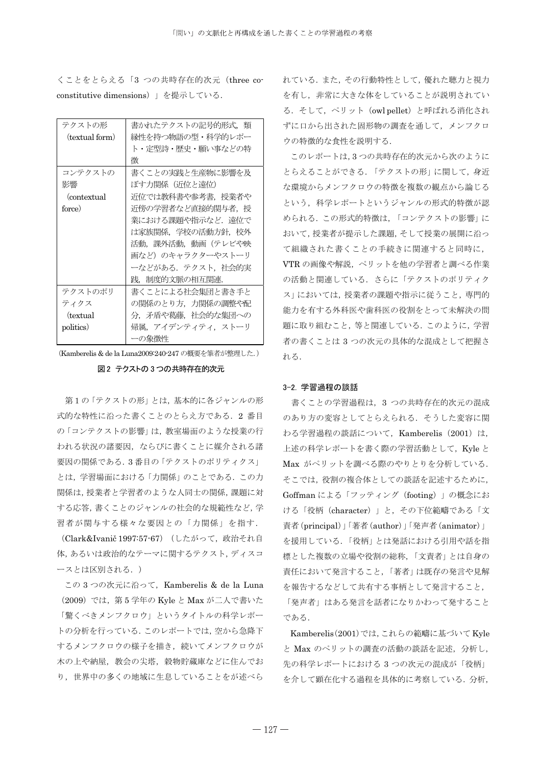くことをとらえる「3 つの共時存在的次元 (three coconstitutive dimensions)」を提示している.

| テクストの形         | 書かれたテクストの記号的形式、類  |
|----------------|-------------------|
| (textual form) | 縁性を持つ物語の型・科学的レポー  |
|                | ト・定型詩・歴史・願い事などの特  |
|                | 徴                 |
| コンテクストの        | 書くことの実践と生産物に影響を及  |
| 影響             | ぼす力関係(近位と遠位)      |
| (contextual)   | 近位では教科書や参考書, 授業者や |
| force)         | 沂傍の学習者など直接的関与者,授  |
|                | 業における課題や指示など.遠位で  |
|                | は家族関係,学校の活動方針,校外  |
|                | 活動,課外活動,動画(テレビや映  |
|                | 画など)のキャラクターやストーリ  |
|                | ーなどがある. テクスト,社会的実 |
|                | 践,制度的文脈の相互関連.     |
| テクストのポリ        | 書くことによる社会集団と書き手と  |
| ティクス           | の関係のとり方、力関係の調整や配  |
| (textual)      | 分、矛盾や葛藤、社会的な集団への  |
| politics)      | 帰属,アイデンティティ,ストーリ  |
|                | 一の象徴性             |

(Kamberelis & de la Luna2009:240-247 の概要を筆者が整理した.)

## 図2 テクストの3つの共時存在的次元

第1の「テクストの形」とは、基本的に各ジャンルの形 式的な特性に沿った書くことのとらえ方である. 2 番目 の 「コンテクストの影響」は、教室場面のような授業の行 われる状況の諸要因、ならびに書くことに媒介される諸 要因の関係である. 3番目の「テクストのポリティクス」 とは、学習場面における「力関係」のことである。この力 関係は, 授業者と学習者のような人同士の関係, 課題に対 する応答、書くことのジャンルの社会的な規範性など、学 習者が関与する様々な要因との「力関係」を指す.

(Clark&Ivanič 1997:57-67) (したがって、政治それ自 体. あるいは政治的なテーマに関するテクスト. ディスコ ースとは区別される.)

この 3 つの次元に沿って、 Kamberelis & de la Luna (2009) では、第5 学年の Kyle と Max が二人で書いた 「驚くべきメンフクロウ」というタイトルの科学レポー トの分析を行っている. このレポートでは、空から急降下 するメンフクロウの様子を描き、続いてメンフクロウが 木の上や納屋、教会の尖塔、穀物貯蔵庫などに住んでお り、世界中の多くの地域に生息していることをが述べら

れている. また、その行動特性として、優れた聴力と視力 を有し、非常に大きな体をしていることが説明されてい る. そして、ペリット (owl pellet) と呼ばれる消化され ずに口から出された固形物の調査を通して、メンフクロ ウの特徴的な食性を説明する.

このレポートは.3つの共時存在的次元から次のように とらえることができる. 「テクストの形」に関して、身近 な環境からメンフクロウの特徴を複数の観点から論じる という、科学レポートというジャンルの形式的特徴が認 められる. この形式的特徴は、「コンテクストの影響」に おいて、授業者が提示した課題、そして授業の展開に沿っ て組織された書くことの手続きに関連すると同時に、 VTR の画像や解説、ペリットを他の学習者と調べる作業 の活動と関連している。 さらに「テクストのポリティク ス」においては、授業者の課題や指示に従うこと、専門的 能力を有する外科医や歯科医の役割をとって未解決の問 題に取り組むこと、等と関連している。このように、学習 者の書くことは3つの次元の具体的な混成として把握さ れる.

#### 3-2. 学習過程の談話

書くことの学習過程は、3 つの共時存在的次元の混成 のあり方の変容としてとらえられる。 そうした変容に関 わる学習過程の談話について、Kamberelis (2001) は, 上述の科学レポートを書く際の学習活動として、Kyle と Max がペリットを調べる際のやりとりを分析している. そこでは、役割の複合体としての談話を記述するために、 Goffman による「フッティング (footing) | の概念にお ける「役柄 (character)」と、その下位範疇である「文 責者(principal)」「著者(author)」「発声者(animator)」 を援用している。「役柄」とは発話における引用や話を指 標とした複数の立場や役割の総称,「文責者」とは自身の 責任において発言すること、「著者」は既存の発言や見解 を報告するなどして共有する事柄として発言すること、 「発声者」はある発言を話者になりかわって発すること である。

Kamberelis(2001)では、これらの範疇に基づいて Kyle と Max のペリットの調査の活動の談話を記述、分析し、 先の科学レポートにおける3つの次元の混成が「役柄」 を介して顕在化する過程を具体的に考察している。分析,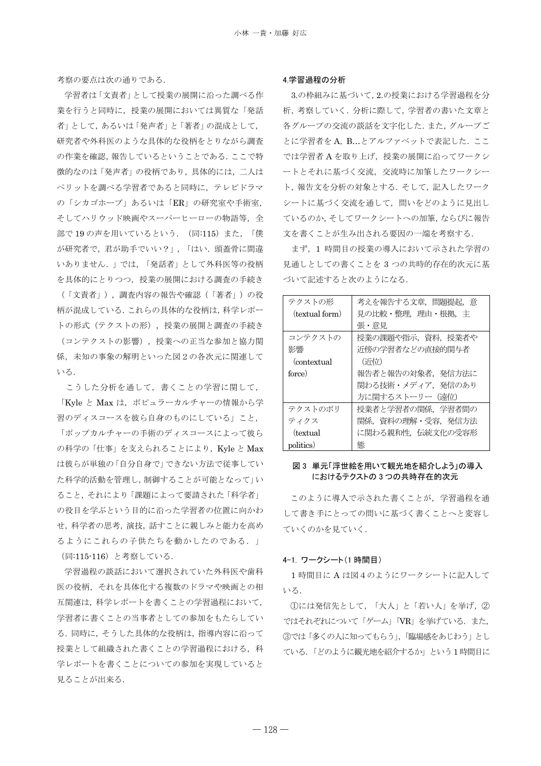考察の要点は次の通りである.

学習者は「文責者」として授業の展開に沿った調べる作 業を行うと同時に、授業の展開においては異質な「発話 者」として、あるいは「発声者」と「著者」の混成として、 研究者や外科医のような具体的な役柄をとりながら調査 の作業を確認、報告しているということである. ここで特 徴的なのは「発声者」の役柄であり、具体的には、二人は へリットを調べる学習者であると同時に、テレビドラマ の「シカゴホープ」あるいは「ER」の研究室や手術室, そしてハリウッド映画やスーパーヒーローの物語等、全 部で19の声を用いているという. (同:115)また、「僕 が研究者で、君が助手でいい?」,「はい. 頭蓋骨に間違 いありません. | では、「発話者」として外科医等の役柄 を具体的にとりつつ、授業の展開における調査の手続き (「文責者」),調査内容の報告や確認(「著者」)の役 柄が混成している. これらの具体的な役柄は, 科学レポー トの形式 (テクストの形), 授業の展開と調査の手続き (コンテクストの影響), 授業への正当な参加と協力関 係、未知の事象の解明といった図2の各次元に関連して いる.

こうした分析を通して、書くことの学習に関して、 「Kyle と Max は、ポピュラーカルチャーの情報から学 習のディスコースを彼ら自身のものにしている」こと、 「ポップカルチャーの手術のディスコースによって彼ら の科学の「仕事」を支えられることにより、Kyle と Max は彼らが単独の「自分自身で」できない方法で従事してい た科学的活動を管理し、制御することが可能となって」い ること、それにより「課題によって要請された「科学者」 の役目を学ぶという目的に沿った学習者の位置に向かわ せ,科学者の思考,演技,話すことに親しみと能力を高め るようにこれらの子供たちを動かしたのである. (同:115-116) と考察している.

学習過程の談話において選択されていた外科医や歯科 医の役柄、それを具体化する複数のドラマや映画との相 互関連は、科学レポートを書くことの学習過程において, 学習者に書くことの当事者としての参加をもたらしてい る。同時に、そうした具体的な役柄は、指導内容に沿って 授業として組織された書くことの学習過程における、科 学レポートを書くことについての参加を実現していると 見ることが出来る.

#### 4 学習過程の分析

3.の枠組みに基づいて、2.の授業における学習過程を分 析,考察していく. 分析に際して、学習者の書いた文章と 各グループの交流の談話を文字化した。また、グループご とに学習者をA, B...とアルファベットで表記した. ここ では学習者Aを取り上げ、授業の展開に沿ってワークシ ートとそれに基づく交流、交流時に加筆したワークシー ト、報告文を分析の対象とする. そして、記入したワーク シートに基づく交流を通して、問いをどのように見出し ているのか、そしてワークシートへの加筆、ならびに報告 文を書くことが生み出される要因の一端を考察する.

まず、1時間目の授業の導入において示された学習の 見通しとしての書くことを 3 つの共時的存在的次元に基 づいて記述すると次のようになる.

| テクストの形           | 考えを報告する文章,問題提起,意 |
|------------------|------------------|
| (textual form)   | 見の比較・整理、理由・根拠、主  |
|                  | 張・意見             |
| コンテクストの          | 授業の課題や指示,資料,授業者や |
| 影響               | 近傍の学習者などの直接的関与者  |
| (contextual)     | (近位)             |
| force)           | 報告者と報告の対象者.発信方法に |
|                  | 関わる技術・メディア、発信のあり |
|                  | 方に関するストーリー (遠位)  |
| テクストのポリ          | 授業者と学習者の関係.学習者間の |
| ティクス             | 関係,資料の理解・受容,発信方法 |
| <i>(textual)</i> | に関わる親和性,伝統文化の受容形 |
| politics)        | 態                |

## 図3 単元「浮世絵を用いて観光地を紹介しよう」の導入 におけるテクストの3つの共時存在的次元

このように導入で示された書くことが、学習過程を通 して書き手にとっての間いに基づく書くことへと変容し ていくのかを見ていく.

#### 4-1. ワークシート(1時間目)

1 時間目にA は図4のようにワークシートに記入して いる。

①には発信先として、「大人」と「若い人」を挙げ、② ではそれぞれについて「ゲーム」「VR」を挙げている. また, 3では「多くの人に知ってもらう」、「臨場感をあじわう」とし ている。「どのように観光地を紹介するか」という1時間目に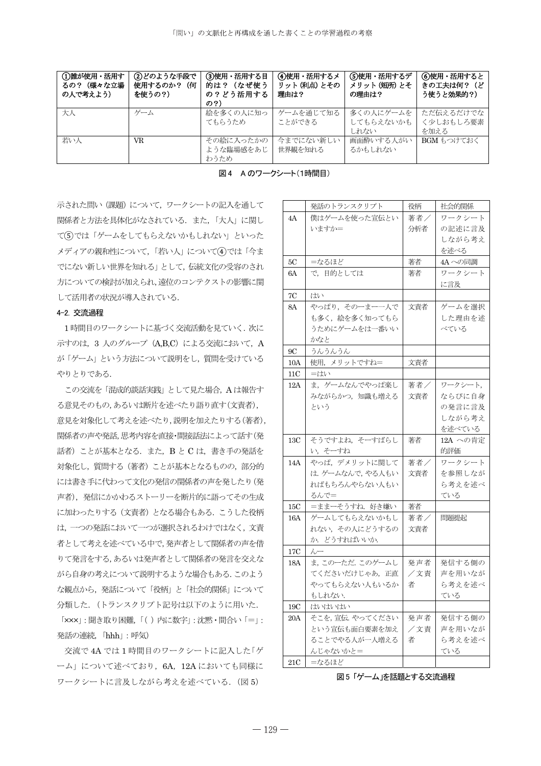| ①誰が使用・活用す<br>(様々な立場<br>るの?<br>の人で考えよう) | ②どのような手段で<br>使用するのか?<br>(何<br>を使うの?) | ③使用・活用する目<br>(なぜ使う<br>的は?<br>の?どう活用する<br>の?) | 4使用・活用するメ<br>リット (利点) とその<br>理由は? | (5)使用・活用するデ<br>メリット(短所)とそ<br>の理由は? | ⑥使用・活用すると<br>きの工夫は何?(ど<br>う使うと効果的?) |
|----------------------------------------|--------------------------------------|----------------------------------------------|-----------------------------------|------------------------------------|-------------------------------------|
| 大人                                     | ゲーム                                  | 絵を多くの人に知っ<br>てもらうため                          | ゲームを通じて知る<br>ことができる               | 多くの人にゲームを<br>してもらえないかも<br>しれない     | ただ伝えるだけでな<br>く少しおもしろ要素<br>を加える      |
| 若い人                                    | VR                                   | その絵に入ったかの<br>ような臨場感をあじ<br>わうため               | 今までにない新しい<br>世界観を知れる              | 画面酔いする人がい<br>るかもしれない               | BGM もつけておく                          |

図4 Aのワークシート(1時間目)

示された問い (課題) について、ワークシートの記入を通して 関係者と方法を具体化がなされている. また、「大人」に関し ている てんじょうんてもらえないかもしれない」といった メディアの親和性について、「若い人」について(4)では「今ま でにない新しい世界を知れる」として、伝統文化の受容のされ 方についての検討が加えられ、遠位のコンテクストの影響に関 して活用者の状況が導入されている.

# 4-2. 交流過程

1 時間目のワークシートに基づく交流活動を見ていく. 次に 示すのは, 3 人のグループ (A,B,C) による交流において, A が「ゲーム」 という方法について説明をし、質問を受けている やりとりである.

この交流を「混成的談話実践」として見た場合, A は報告す る意見そのもの、あるいは断片を述べたり語り直す(文責者), 意見を対象化して考えを述べたり,説明を加えたりする(著者), 関係者の声や発話、思考内容を直接・間接話法によって話す(発 話者) ことが基本となる. また、B と C は、書き手の発話を 対象化し、 質問する (著者) ことが基本となるものの、部分的 には書き手に代わって文化の発信の関係者の声を発したり(発 声者), 発信にかかわるストーリーを断片的に語ってその生成 に加わったりする (文責者) となる場合もある. こうした役柄 は、一つの発話において一つが選択されるわけではなく、文責 者として考えを述べている中で、発声者として関係者の声を借 りて発言をする, あるいは発声者として関係者の発言を交えな がら自身の考えについて説明するような場合もある. このよう な観点から、発話について「役柄」と「社会的関係」について 分類した. (トランスクリプト記号は以下のように用いた.

「xxx」:聞き取り困難,「()内に数字」:沈黙・間合い「=」: 発話の連続,「hhh」: 呼気)

交流で4A では1時間目のワークシートに記入した「ゲ ーム」について述べており、6A, 12A においても同様に ワークシートに言及しながら考えを述べている. (図5)

|                | 発話のトランスクリプト             | 役柄  | 社会的関係         |
|----------------|-------------------------|-----|---------------|
| 4A             | 僕はゲームを使った宣伝とい           | 著者/ | ワークシート        |
|                | いますか=                   | 分析者 | の記述に言及        |
|                |                         |     | しながら考え        |
|                |                         |     | を述べる          |
| 5С             | =なるほど                   | 著者  | 4A への同調       |
| 6A             | で、目的としては                | 著者  | ワークシート        |
|                |                         |     | に言及           |
| 7C             | はい                      |     |               |
| 8A             | やっぱり、そのーまー一人で           | 文責者 | ゲームを選択        |
|                | も多く、絵を多く知ってもら           |     | した理由を述        |
|                | うためにゲームをは一番いい           |     | べている          |
|                | かなと                     |     |               |
| 9С             | うんうんうん                  |     |               |
| 10A            | 使用,メリットですね=             | 文責者 |               |
| 11C            | =はい                     |     |               |
| 12A            | ま, ゲームなんでやっぱ楽し          | 著者/ | ワークシート,       |
|                | みながらかつ、知識も増える           | 文責者 | ならびに自身        |
|                | という                     |     | の発言に言及        |
|                |                         |     | しながら考え        |
|                |                         |     | を述べている        |
|                |                         |     |               |
| 13C            | そうですよね、そーすばらし           | 著者  | 12A への肯定      |
|                | い,そーすね                  |     | 的評価           |
| 14A            | やっぱ、デメリットに関して           | 著者/ | ワークシート        |
|                | は. ゲームなんで,やる人もい         | 文責者 | を参照しなが        |
|                | ればもちろんやらない人もい           |     | ら考えを述べ        |
|                | るんで=                    |     | ている           |
| 15C            | =ままーそうすね.好き嫌い           | 著者  |               |
| 16A            | ゲームしてもらえないかもし           | 著者/ | 問題提起          |
|                | れない、その人にどうするの           | 文責者 |               |
|                | か. どうすればいいか.            |     |               |
| $17\mathrm{C}$ | $\lambda$               |     |               |
| 18A            | ま、このーただ. このゲームし         | 発声者 | 発信する側の        |
|                | てくださいだけじゃあ,正直           | /文責 | 声を用いなが        |
|                | やってもらえない人もいるか<br>もしれない. | 者   | ら考えを述べ<br>ている |
| 19C            | はいはいはい                  |     |               |
| 20A            | そこを,宣伝.やってください          | 発声者 | 発信する側の        |
|                | という宣伝も面白要素を加え           | /文責 | 声を用いなが        |
|                | ることでやる人が一人増える           | 者   | ら考えを述べ        |
|                | んじゃないかと=                |     | ている           |

図5「ゲーム」を話題とする交流過程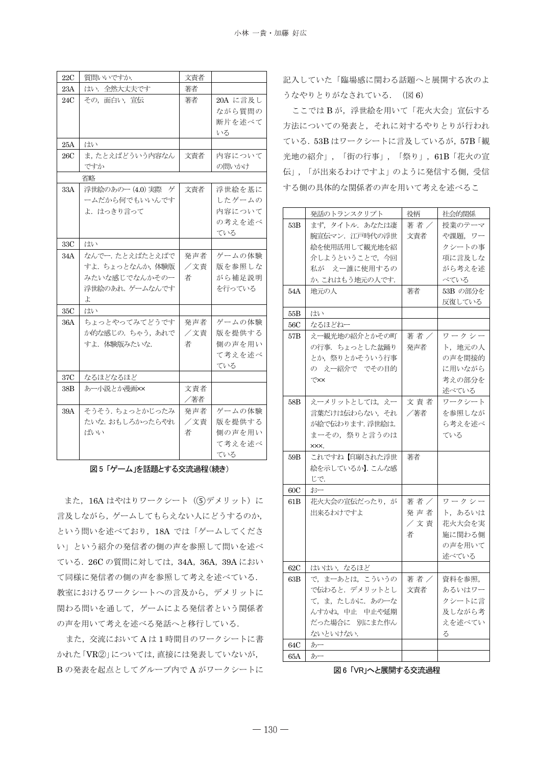| 22C | 質問いいですか.           | 文責者 |          |
|-----|--------------------|-----|----------|
| 23A | はい. 全然大丈夫です        | 著者  |          |
| 24C | その、面白い、宣伝          | 著者  | 20A に言及し |
|     |                    |     | ながら質問の   |
|     |                    |     | 断片を述べて   |
|     |                    |     | いる       |
| 25A | はい                 |     |          |
| 26C | ま、たとえばどういう内容なん     | 文責者 | 内容について   |
|     | ですか                |     | の問いかけ    |
|     | 省略                 |     |          |
| 33A | 浮世絵のあのー (4.0) 実際 ゲ | 文責者 | 浮世絵を基に   |
|     | ームだから何でもいいんです      |     | したゲームの   |
|     | よ. はっきり言って         |     | 内容について   |
|     |                    |     | の考えを述べ   |
|     |                    |     | ている      |
| 33C | はい                 |     |          |
| 34A | なんでー. たとえばたとえばで    | 発声者 | ゲームの体験   |
|     | すよ。ちょっとなんか、体験版     | /文責 | 版を参照しな   |
|     | みたいな感じでなんかそのー      | 者   | がら補足説明   |
|     | 浮世絵のあれ、ゲームなんです     |     | を行っている   |
|     | よ                  |     |          |
| 35C | はい                 |     |          |
| 36A | ちょっとやってみてどうです      | 発声者 | ゲームの体験   |
|     | か的な感じの. ちゃう、あれで    | /文責 | 版を提供する   |
|     | すよ.体験版みたいな.        | 者   | 側の声を用い   |
|     |                    |     | て考えを述べ   |
|     |                    |     | ている      |
| 37C | なるほどなるほど           |     |          |
| 38B | あー小説とか漫画××         | 文責者 |          |
|     |                    | /著者 |          |
| 39A | そうそう. ちょっとかじったみ    | 発声者 | ゲームの体験   |
|     | たいな. おもしろかったらやれ    | /文責 | 版を提供する   |
|     | ばいい                | 者   | 側の声を用い   |
|     |                    |     | て考えを述べ   |
|     |                    |     | ている      |

#### 図5「ゲーム」を話題とする交流過程(続き)

また, 16A はやはりワークシート (5)デメリット) に 言及しながら、ゲームしてもらえない人にどうするのか、 という問いを述べており, 18A では「ゲームしてくださ い」という紹介の発信者の側の声を参照して問いを述べ ている. 26C の質問に対しては, 34A, 36A, 39A におい て同様に発信者の側の声を参照して考えを述べている. 教室におけるワークシートへの言及から、デメリットに 関わる問いを通して、ゲームによる発信者という関係者 の声を用いて考えを述べる発話へと移行している.

また、交流においてAは1時間目のワークシートに書 かれた「VR②」については、直接には発表していないが, Bの発表を起点としてグループ内でAがワークシートに

記入していた「臨場感に関わる話題へと展開する次のよ うなやりとりがなされている. (図6)

ここではBが、浮世絵を用いて「花火大会」宣伝する 方法についての発表と、それに対するやりとりが行われ ている. 53B はワークシートに言及しているが, 57B「観 光地の紹介」,「街の行事」,「祭り」,61B「花火の宣 伝」,「が出来るわけですよ」のように発信する側,受信 する側の具体的な関係者の声を用いて考えを述べるこ

|     | 発話のトランスクリプト     | 役柄   | 社会的関係    |
|-----|-----------------|------|----------|
| 53B | まず、タイトル. あなたは凄  | 著者   | 授業のテーマ   |
|     | 腕宣伝マン. 江戸時代の浮世  | 文責者  | や課題, ワー  |
|     | 絵を使用活用して観光地を紹   |      | クシートの事   |
|     | 介しようということで、今回   |      | 項に言及しな   |
|     | 私が えー誰に使用するの    |      | がら考えを述   |
|     | か.これはもう地元の人です.  |      | べている     |
| 54A | 地元の人            | 著者   | 53B の部分を |
|     |                 |      | 反復している   |
| 55B | はい              |      |          |
| 56C | なるほどねー          |      |          |
| 57B | えー観光地の紹介とかその町   | 著者 / | ワークシー    |
|     | の行事.ちょっとした盆踊り   | 発声者  | ト,地元の人   |
|     | とか,祭りとかそういう行事   |      | の声を間接的   |
|     | の えー紹介で でその目的   |      | に用いながら   |
|     | で××             |      | 考えの部分を   |
|     |                 |      | 述べている    |
| 58B | えーメリットとしては、えー   | 文責者  | ワークシート   |
|     | 言葉だけは伝わらない, それ  | /著者  | を参照しなが   |
|     | が絵で伝わります.浮世絵は.  |      | ら考えを述べ   |
|     | まーその、祭りと言うのは    |      | ている      |
|     | XXX.            |      |          |
| 59B | これですね【印刷された浮世   | 著者   |          |
|     | 絵を示しているか】. こんな感 |      |          |
|     | じで.             |      |          |
| 60C | おー              |      |          |
| 61B | 花火大会の宣伝だったり、が   | 著者/  | ワークシー    |
|     | 出来るわけですよ        | 発声者  | ト,あるいは   |
|     |                 | /文責  | 花火大会を実   |
|     |                 | 者    | 施に関わる側   |
|     |                 |      | の声を用いて   |
|     |                 |      | 述べている    |
| 62C | はいはい, なるほど      |      |          |
| 63B | で、まーあとは、こういうの   | 著者 / | 資料を参照,   |
|     | で伝わると. デメリットとし  | 文責者  | あるいはワー   |
|     | て、ま、たしかに、あのーな   |      | クシートに言   |
|     | んすかね、中止 中止や延期   |      | 及しながら考   |
|     | だった場合に 別にまた作ん   |      | えを述べてい   |
|     | ないといけない.        |      | る        |
| 64C | あー              |      |          |
| 65A | あー              |      |          |

図6「VR」へと展開する交流過程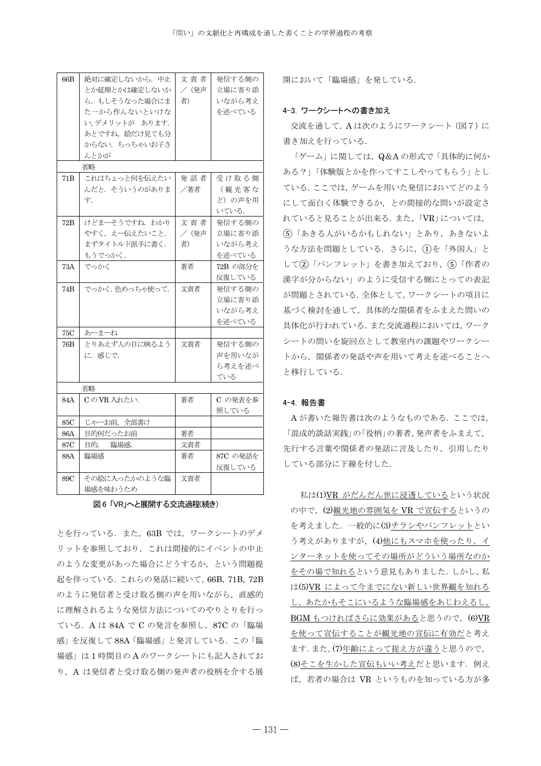| 66B             | 絶対に確定しないから. 中止  | 文責者   | 発信する側の   |
|-----------------|-----------------|-------|----------|
|                 | とか延期とかは確定しないか   | /(発声  | 立場に寄り添   |
|                 | ら.もしそうなった場合にま   | 者)    | いながら考え   |
|                 | た一から作んないといけな    |       | を述べている   |
|                 | い、デメリットが あります.  |       |          |
|                 | あとですね、絵だけ見ても分   |       |          |
|                 | からない. ちっちゃいお子さ  |       |          |
|                 | んとかが            |       |          |
|                 | 省略              |       |          |
| 71 <sub>B</sub> | これはちょっと何を伝えたい   | 発 話 者 | 受け取る側    |
|                 | んだと. そういうのがありま  | /著者   | (観光客な    |
|                 | 十.              |       | ど)の声を用   |
|                 |                 |       | いている.    |
| 72B             | けどまーそうですね. わかり  | 文責者   | 発信する側の   |
|                 | やすく、えー伝えたいこと.   | / (発声 | 立場に寄り添   |
|                 | まずタイトルド派手に書く.   | 者)    | いながら考え   |
|                 | もうでっかく.         |       | を述べている   |
| 73A             | でっかく            | 著者    | 72B の部分を |
|                 |                 |       | 反復している   |
| 74 <sub>B</sub> | でっかく. 色めっちゃ使って. | 文責者   | 発信する側の   |
|                 |                 |       | 立場に寄り添   |
|                 |                 |       | いながら考え   |
|                 |                 |       | を述べている   |
| 75C             | あーまーね           |       |          |
| 76 <sub>B</sub> | とりあえず人の目に映るよう   | 文責者   | 発信する側の   |
|                 | に.感じで.          |       | 声を用いなが   |
|                 |                 |       | ら考えを述べ   |
|                 |                 |       | ている      |
|                 | 省略              |       |          |
| 84A             | CのVR 入れたい.      | 著者    | C の発表を参  |
|                 |                 |       | 照している    |
| 85C             | じゃーお前、全部書け      |       |          |
| 86A             | 目的何だったお前        | 著者    |          |
| 87C             | 目的. 臨場感.        | 文責者   |          |
| 88A             | 臨場感             | 著者    | 87C の発話を |
|                 |                 |       | 反復している   |
| 89C             | その絵に入ったかのような臨   | 文青者   |          |
|                 | 場感を味わうため        |       |          |

図6「VR」へと展開する交流過程(続き)

とを行っている. また、63B では、ワークシートのデメ リットを参照しており、これは間接的にイベントの中止 のような変更があった場合にどうするか、という問題提 起を伴っている. これらの発話に続いて, 66B, 71B, 72B のように発信者と受け取る側の声を用いながら、直感的 に理解されるような発信方法についてのやりとりを行っ ている. A は 84A で C の発言を参照し, 87C の「臨場 感」を反復して88A「臨場感」と発言している. この「臨 場感」は1時間目のAのワークシートにも記入されてお り, A は発信者と受け取る側の発声者の役柄を介する展 開において「臨場感」を発している。

#### 4-3. ワークシートへの書き加え

交流を通して, A は次のようにワークシート (図7)に 書き加えを行っている.

「ゲーム」に関しては、Q&Aの形式で「具体的に何か ある?」「体験版とかを作ってすこしやってもらう」とし ている. ここでは、ゲームを用いた発信においてどのよう にして面白く体験できるか、との間接的な問いが設定さ れていると見ることが出来る. また、「VR」については. (5) 「あきる人がいるかもしれない」とあり、あきないよ うな方法を問題としている. さらに、1を「外国人」と して(2)「パンフレット」を書き加えており、(5)「作者の 漢字が分からない」のように受信する側にとっての表記 が問題とされている. 全体として、ワークシートの項目に 基づく検討を通して、具体的な関係者をふまえた問いの 具体化が行われている. また交流過程においては、ワーク シートの問いを旋回点として教室内の課題やワークシー トから、関係者の発話や声を用いて考えを述べることへ と移行している.

## 4-4. 報告書

A が書いた報告書は次のようなものである. ここでは, 「混成的談話実践」の「役柄」の著者、発声者をふまえて、 先行する言葉や関係者の発話に言及したり、引用したり している部分に下線を付した.

私は(1)VR がだんだん世に浸透しているという状況 の中で、(2)観光地の雰囲気を VR で宣伝するというの を考えました. 一般的に(3)チラシやパンフレットとい う考えがありますが、(4)他にもスマホを使ったり、イ ンターネットを使ってその場所がどういう場所なのか をその場で知れるという意見もありました. しかし、私 は(5)VR によって今までにない新しい世界観を知れる し、あたかもそこにいるような臨場感をあじわえるし、 BGM もつければさらに効果があると思うので、(6)VR を使って宣伝することが観光地の宣伝に有効だと考え ます. また, (7)年齢によって捉え方が違うと思うので, (8)そこを生かした宣伝もいい考えだと思います。例え ば、若者の場合は VR というものを知っている方が多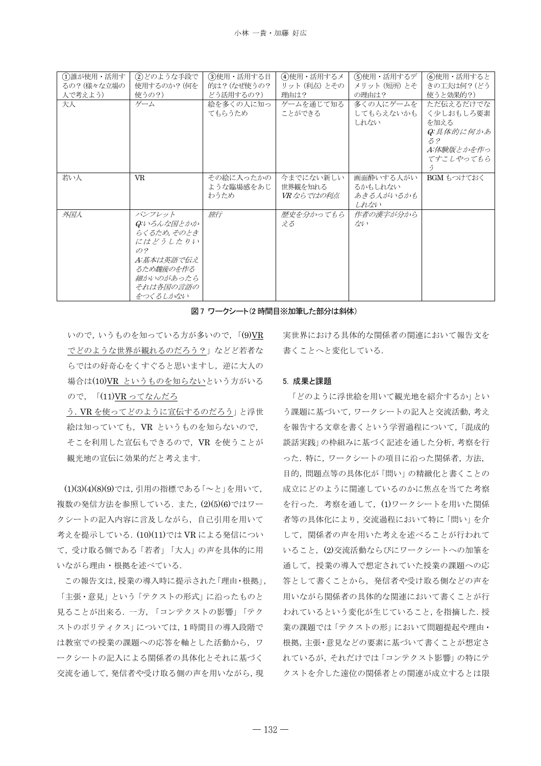| (1)誰が使用・活用す<br>るの? (様々な立場の<br>人で考えよう) | (2)どのような手段で<br>使用するのか? (何を<br>使うの?)                                                                                     | (3)使用・活用する目<br>的は? (なぜ使うの?<br>どう活用するの?) | (4)使用・活用するメ<br>リット (利点) とその<br>理由は? | (5)使用・活用するデ<br>メリット (短所) とそ<br>の理由は?      | 6使用・活用すると<br>きの工夫は何? (どう<br>使うと効果的?)                                          |
|---------------------------------------|-------------------------------------------------------------------------------------------------------------------------|-----------------------------------------|-------------------------------------|-------------------------------------------|-------------------------------------------------------------------------------|
| 大人                                    | ゲーム                                                                                                                     | 絵を多くの人に知っ<br>てもらうため                     | ゲームを通じて知る<br>ことができる                 | 多くの人にゲームを<br>してもらえないかも<br>しれない            | ただ伝えるだけでな<br>く少しおもしろ要素<br>を加える<br>Q:具体的に何かあ<br>5.2<br>A:体験版とかを作っ<br>てすこしやってもら |
| 若い人                                   | <b>VR</b>                                                                                                               | その絵に入ったかの<br>ような臨場感をあじ<br>わうため          | 今までにない新しい<br>世界観を知れる<br>VR ならではの利点  | 画面酔いする人がい<br>るかもしれない<br>あきる人がいるかも<br>しれない | BGM もつけておく                                                                    |
| 外国人                                   | パンフレット<br>Q:いろんな国とかか<br>らくるため, そのとき<br>にはどうしたりい<br>O.2<br>A:基本は英語で伝え<br>るため魏後のを作る<br>細かいのがあったら<br>それは各国の言語の<br>をつくるしかない | 旅行                                      | 歴史を分かってもら<br>える                     | 作者の漢字が分から<br>かい                           |                                                                               |

図7 ワークシート(2 時間目※加筆した部分は斜体)

いので、いうものを知っている方が多いので、「(9)VR でどのような世界が観れるのだろう?」などど若者な らではの好奇心をくすぐると思いますし、逆に大人の 場合は(10)VR というものを知らないという方がいる ので、「(11)VR ってなんだろ

う. VR を使ってどのように宣伝するのだろう」と浮世 絵は知っていても、 VR というものを知らないので, そこを利用した宣伝もできるので、VR を使うことが 観光地の宣伝に効果的だと考えます.

(1)(3)(4)(8)(9)では、引用の指標である「~と」を用いて、 複数の発信方法を参照している. また, (2)(5)(6)ではワー クシートの記入内容に言及しながら、自己引用を用いて 考えを提示している. (10)(11)では VR による発信につい て、受け取る側である「若者」「大人」の声を具体的に用 いながら理由 · 根拠を述べている.

この報告文は,授業の導入時に提示された「理由·根拠」, 「主張・意見」という「テクストの形式」に沿ったものと 見ることが出来る. 一方, 「コンテクストの影響」「テク ストのポリティクス」については、1時間目の導入段階で は教室での授業の課題への応答を軸とした活動から、ワ ークシートの記入による関係者の具体化とそれに基づく 交流を通して、発信者や受け取る側の声を用いながら、現

実世界における具体的な関係者の関連において報告文を 書くことへと変化している.

### 5. 成果と課題

「どのように浮世絵を用いて観光地を紹介するか」とい う課題に基づいて、ワークシートの記入と交流活動,考え を報告する文章を書くという学習過程について、「混成的 談話実践」の枠組みに基づく記述を通した分析,考察を行 った. 特に、ワークシートの項目に沿った関係者、方法, 目的, 問題点等の具体化が「問い」の精緻化と書くことの 成立にどのように関連しているのかに焦点を当てた考察 を行った. 考察を通して、(1)ワークシートを用いた関係 者等の具体化により、交流過程において特に「問い」を介 して、関係者の声を用いた考えを述べることが行われて いること、(2)交流活動ならびにワークシートへの加筆を 通して、授業の導入で想定されていた授業の課題への応 答として書くことから、発信者や受け取る側などの声を 用いながら関係者の具体的な関連において書くことが行 われているという変化が生じていること、を指摘した. 授 業の課題では「テクストの形」において問題提起や理由 根拠, 主張·意見などの要素に基づいて書くことが想定さ れているが、 それだけでは 「コンテクスト影響」 の特にテ クストを介した遠位の関係者との関連が成立するとは限